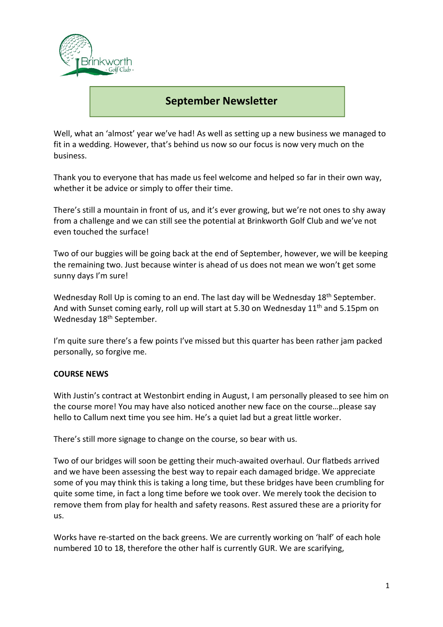

## **September Newsletter**

Well, what an 'almost' year we've had! As well as setting up a new business we managed to fit in a wedding. However, that's behind us now so our focus is now very much on the business.

Thank you to everyone that has made us feel welcome and helped so far in their own way, whether it be advice or simply to offer their time.

There's still a mountain in front of us, and it's ever growing, but we're not ones to shy away from a challenge and we can still see the potential at Brinkworth Golf Club and we've not even touched the surface!

Two of our buggies will be going back at the end of September, however, we will be keeping the remaining two. Just because winter is ahead of us does not mean we won't get some sunny days I'm sure!

Wednesday Roll Up is coming to an end. The last day will be Wednesday 18<sup>th</sup> September. And with Sunset coming early, roll up will start at 5.30 on Wednesday 11<sup>th</sup> and 5.15pm on Wednesday 18<sup>th</sup> September.

I'm quite sure there's a few points I've missed but this quarter has been rather jam packed personally, so forgive me.

## **COURSE NEWS**

With Justin's contract at Westonbirt ending in August, I am personally pleased to see him on the course more! You may have also noticed another new face on the course…please say hello to Callum next time you see him. He's a quiet lad but a great little worker.

There's still more signage to change on the course, so bear with us.

Two of our bridges will soon be getting their much-awaited overhaul. Our flatbeds arrived and we have been assessing the best way to repair each damaged bridge. We appreciate some of you may think this is taking a long time, but these bridges have been crumbling for quite some time, in fact a long time before we took over. We merely took the decision to remove them from play for health and safety reasons. Rest assured these are a priority for us.

Works have re-started on the back greens. We are currently working on 'half' of each hole numbered 10 to 18, therefore the other half is currently GUR. We are scarifying,